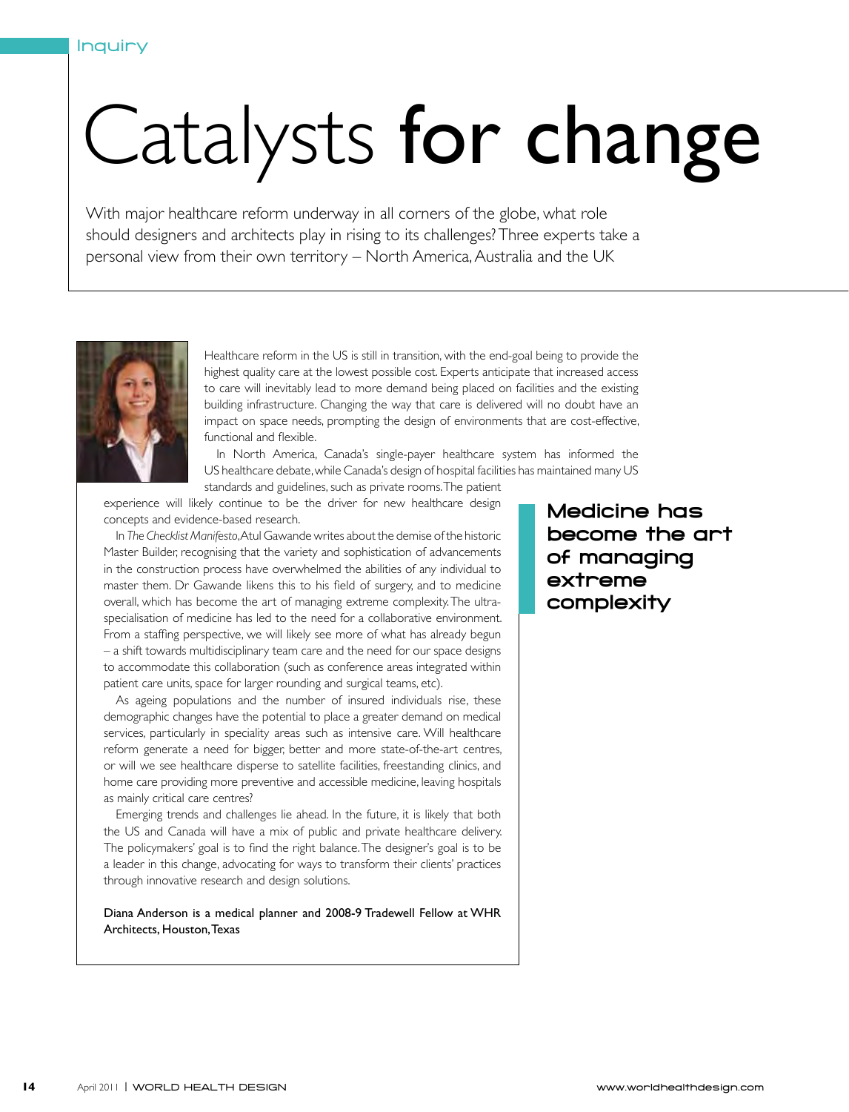## Catalysts for change

With major healthcare reform underway in all corners of the globe, what role should designers and architects play in rising to its challenges? Three experts take a personal view from their own territory – North America, Australia and the UK



Healthcare reform in the US is still in transition, with the end-goal being to provide the highest quality care at the lowest possible cost. Experts anticipate that increased access to care will inevitably lead to more demand being placed on facilities and the existing building infrastructure. Changing the way that care is delivered will no doubt have an impact on space needs, prompting the design of environments that are cost-effective, functional and flexible.

In North America, Canada's single-payer healthcare system has informed the US healthcare debate, while Canada's design of hospital facilities has maintained many US

standards and guidelines, such as private rooms. The patient

experience will likely continue to be the driver for new healthcare design concepts and evidence-based research.

In *The Checklist Manifesto*, Atul Gawande writes about the demise of the historic Master Builder, recognising that the variety and sophistication of advancements in the construction process have overwhelmed the abilities of any individual to master them. Dr Gawande likens this to his field of surgery, and to medicine overall, which has become the art of managing extreme complexity. The ultraspecialisation of medicine has led to the need for a collaborative environment. From a staffing perspective, we will likely see more of what has already begun – a shift towards multidisciplinary team care and the need for our space designs to accommodate this collaboration (such as conference areas integrated within patient care units, space for larger rounding and surgical teams, etc).

As ageing populations and the number of insured individuals rise, these demographic changes have the potential to place a greater demand on medical services, particularly in speciality areas such as intensive care. Will healthcare reform generate a need for bigger, better and more state-of-the-art centres, or will we see healthcare disperse to satellite facilities, freestanding clinics, and home care providing more preventive and accessible medicine, leaving hospitals as mainly critical care centres?

Emerging trends and challenges lie ahead. In the future, it is likely that both the US and Canada will have a mix of public and private healthcare delivery. The policymakers' goal is to find the right balance. The designer's goal is to be a leader in this change, advocating for ways to transform their clients' practices through innovative research and design solutions.

Diana Anderson is a medical planner and 2008-9 Tradewell Fellow at WHR Architects, Houston, Texas

Medicine has become the art of managing extreme complexity